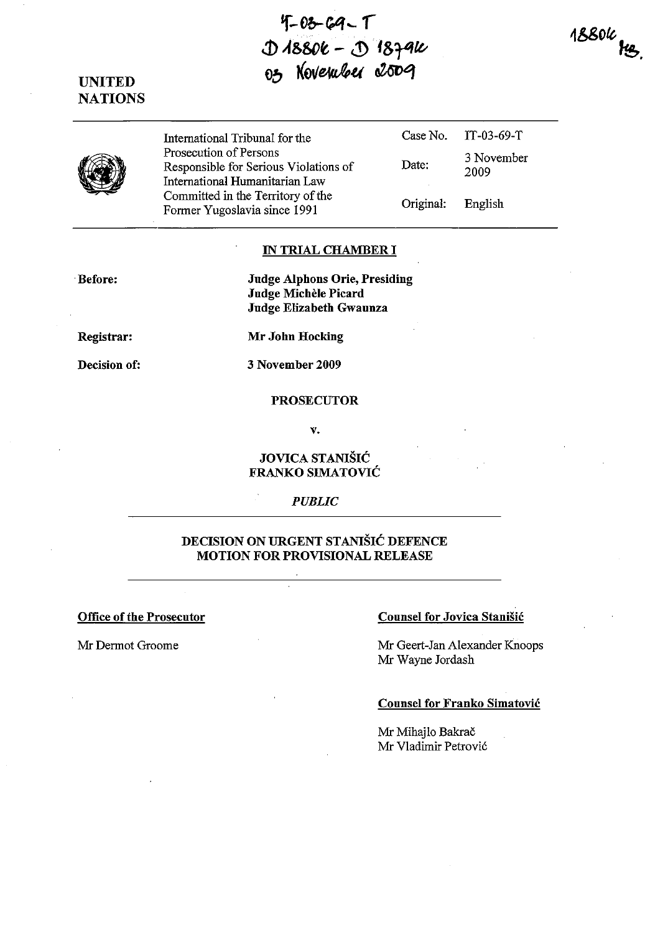**'f-f)b-C4 ...** r **.j) Af>&ct - <1) f&T4tt. f) NOVENWELL COUPT** 

1880k<br>**He** 

# UNITED **NATIONS**



International Tribunal for the Case No. Prosecution of Persons Responsible for Serious Violations of Date: International Humanitarian Law Committed in the Territory of the Former Yugoslavia since 1991 Original: IT-03-69-T 3 November 2009 English

#### IN TRIAL CHAMBER **I**

Before:

Judge Alphons Orie, Presiding Judge Michèle Picard Judge Elizabeth Gwaunza

Registrar:

Mr John Hocking

Decision of:

3 November 2009

#### **PROSECUTOR**

v.

#### JOVICA STANIŠIĆ FRANKO SIMATOVIC

*PUBLIC* 

## DECISION ON URGENT STANISIC DEFENCE MOTION FOR PROVISIONAL RELEASE

#### Office of the Prosecutor Counsel for Jovica Stanisic

Mr Dermot Groome Mr Geert-Jan Alexander Knoops Mr Wayne Jordash

#### Counsel for Franko Simatovic

Mr Mihajlo Bakrač Mr Vladimir Petrović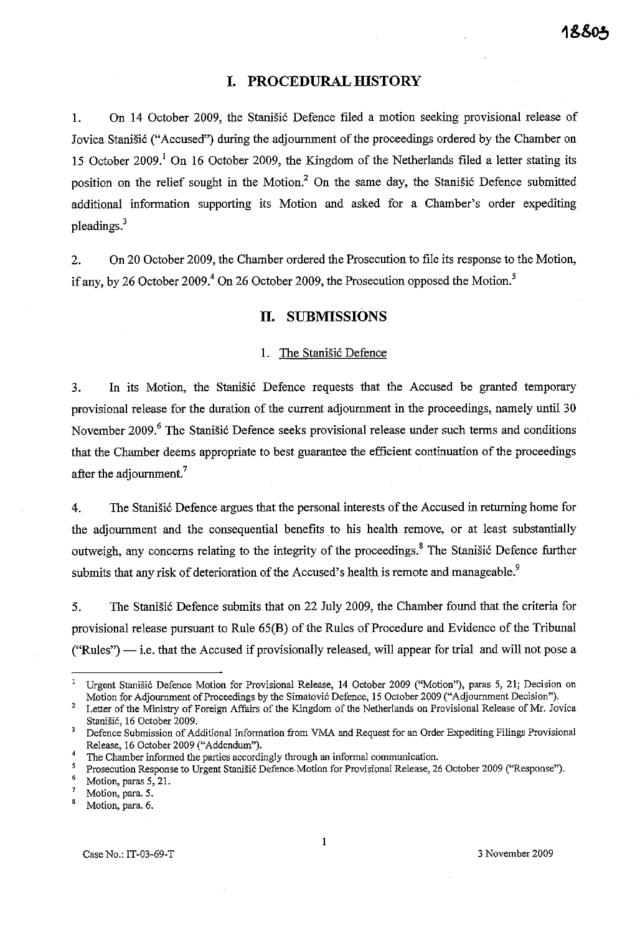# **I. PROCEDURAL HISTORY**

1. On 14 October 2009, the Stanišić Defence filed a motion seeking provisional release of Jovica Stanišić ("Accused") during the adjournment of the proceedings ordered by the Chamber on 15 October 2009.<sup>1</sup> On 16 October 2009, the Kingdom of the Netherlands filed a letter stating its position on the relief sought in the Motion.<sup>2</sup> On the same day, the Stanistic Defence submitted additional information supporting its Motion and asked for a Chamber's order expediting pleadings.<sup>3</sup>

2. On 20 October 2009, the Chamber ordered the Prosecution to file its response to the Motion, if any, by 26 October 2009.<sup>4</sup> On 26 October 2009, the Prosecution opposed the Motion.<sup>5</sup>

#### **11. SUBMISSIONS**

#### 1. The Stanišić Defence

3. In its Motion, the Stanisic Defence requests that the Accused be granted temporary provisional release for the duration of the current adjournment in the proceedings, namely until 30 November 2009.<sup>6</sup> The Stanišić Defence seeks provisional release under such terms and conditions that the Chamber deems appropriate to best guarantee the efficient continuation of the proceedings after the adjournment.<sup>7</sup>

4. The Stanistic Defence argues that the personal interests of the Accused in returning home for the adjournment and the consequential benefits to his health remove, or at least substantially outweigh, any concerns relating to the integrity of the proceedings.<sup>8</sup> The Stanišić Defence further submits that any risk of deterioration of the Accused's health is remote and manageable.<sup>9</sup>

5. The Stanišić Defence submits that on 22 July 2009, the Chamber found that the criteria for provisional release pursuant to Rule 65(B) of the Rules of Procedure and Evidence of the Tribunal  $("Rules")$  - i.e. that the Accused if provisionally released, will appear for trial and will not pose a

<sup>I</sup>**Urgent Stanisi6 Defence Motion for Provisional Release, 14 October 2009 ("Motion"), paras 5, 21; Decision on**  Motion for Adjournment of Proceedings by the Simatović Defence, 15 October 2009 ("Adjournment Decision").

<sup>2</sup> Letter of the Ministry of Foreign Affairs of the Kingdom of the Netherlands on Provisional Release of Mr. Jovica Stanišić, 16 October 2009.

<sup>3</sup> Defence Submission of Additional Information from VMA and Request for an Order Expediting Filings Provisional Release, 16 October 2009 ("Addendum").

The Chamber informed the parties accordingly through an informal communication.

Prosecution Response to Urgent Stanišić Defence-Motion for Provisional Release, 26 October 2009 ("Response").

 $\frac{6}{7}$  Motion, paras 5, 21.

**<sup>7</sup> Motion, para. 5.** 

**<sup>8</sup> Motion, para. 6.**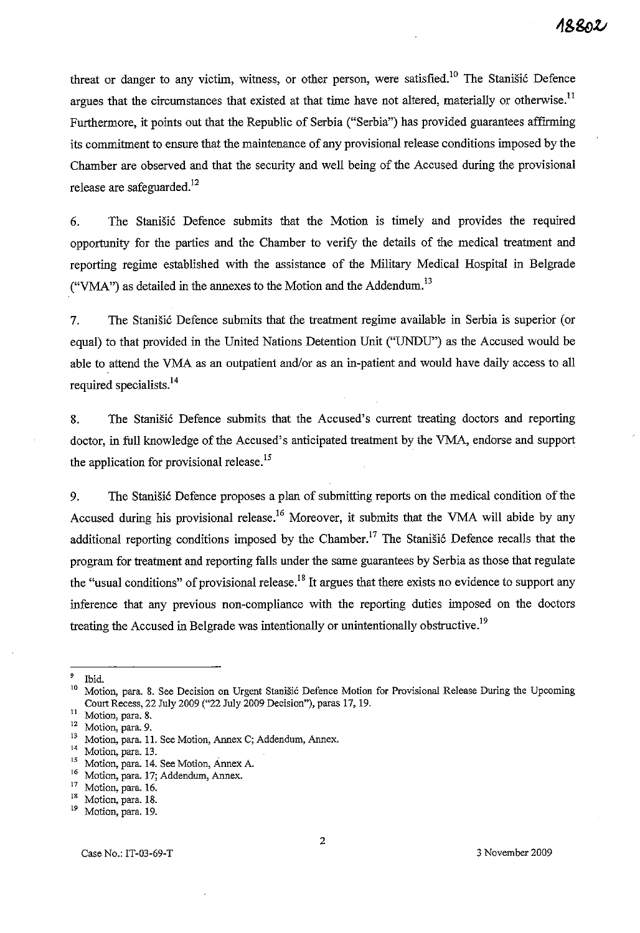threat or danger to any victim, witness, or other person, were satisfied.<sup>10</sup> The Stanišić Defence argues that the circumstances that existed at that time have not altered, materially or otherwise.<sup>11</sup> Furthermore, it points out that the Republic of Serbia ("Serbia") has provided guarantees affirming its commitment to ensure that the maintenance of any provisional release conditions imposed by the Chamber are observed and that the security and well being of the Accused during the provisional release are safeguarded.<sup>12</sup>

6. The StaniSi6 Defence submits that the Motion is timely and provides the required opportunity for the parties and the Chamber to verify the details of the medical treatment and reporting regime established with the assistance of the Military Medical Hospital in Belgrade ("VMA") as detailed in the annexes to the Motion and the Addendum.<sup>13</sup>

7. The Stanišić Defence submits that the treatment regime available in Serbia is superior (or equal) to that provided in the United Nations Detention Unit ("UNDU") as the Accused would be able to attend the VMA as an outpatient and/or as an in-patient and would have daily access to all required specialists.<sup>14</sup>

8. The Stanišić Defence submits that the Accused's current treating doctors and reporting doctor, in full knowledge of the Accused's anticipated treatment by the VMA, endorse and support the application for provisional release.<sup>15</sup>

9. The Stanišić Defence proposes a plan of submitting reports on the medical condition of the Accused during his provisional release.<sup>16</sup> Moreover, it submits that the VMA will abide by any additional reporting conditions imposed by the Chamber.<sup>17</sup> The Stanisic Defence recalls that the program for treatment and reporting falls under the same guarantees by Serbia as those that regulate the "usual conditions" of provisional release.<sup>18</sup> It argues that there exists no evidence to support any inference that any previous non-compliance with the reporting duties imposed on the doctors treating the Accused in Belgrade was intentionally or unintentionally obstructive.<sup>19</sup>

 $^{9}$  Ibid.<br><sup>10</sup> Mexi

**<sup>10</sup>Motion, para. 8. See Decision on Urgent Stanisi6 Defence Motion for Provisional Release During the Upeaming**  Court Recess, 22 July 2009 ("22 July 2009 Decision"), paras 17, 19.

**<sup>11</sup>Motion, para. 8.** 

**<sup>12</sup> Motion, para. 9.** 

**<sup>13</sup>Motion, para. 11. See Motion, Annex C; Addendum, Annex.** 

**<sup>14</sup>Motion, para. 13.** 

<sup>&</sup>lt;sup>15</sup> Motion, para. 14. See Motion, Annex A.

**<sup>16</sup>Motion, para. 17; Addendum, Annex.** 

 $^{17}$  Motion, para. 16.

<sup>&</sup>lt;sup>18</sup> Motion, para. 18.

Motion, para. 19.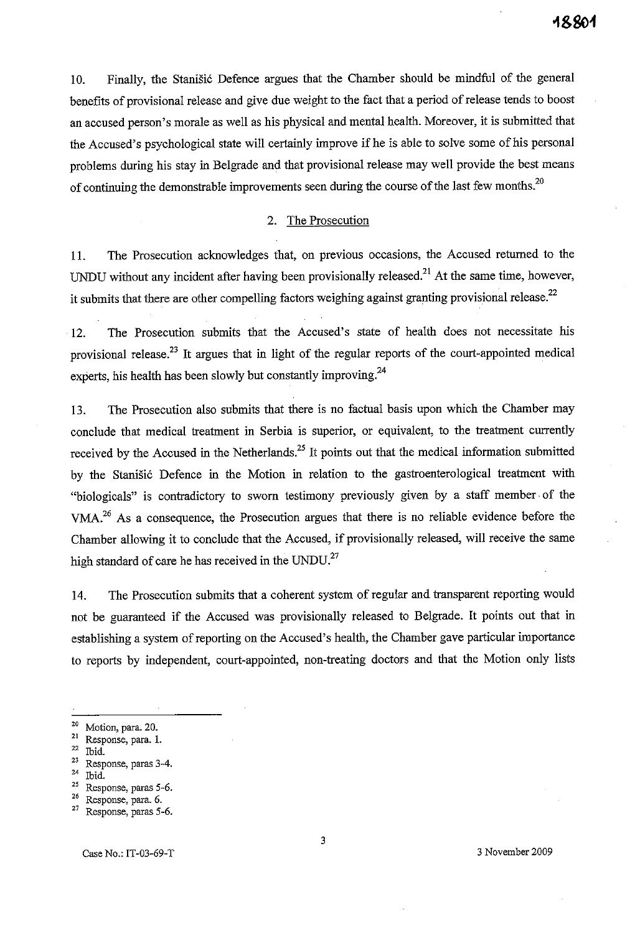10. Finally, the Stanistic Defence argues that the Chamber should be mindful of the general benefits of provisional release and give due weight to the fact that a period of release tends to boost an accused person's morale as well as his physical and mental health. Moreover, it is submitted that the Accused's psychological state will certainly improve if he is able to solve some of his personal problems during his stay in Belgrade and that provisional release may well provide the best means of continuing the demonstrable improvements seen during the course of the last few months.<sup>20</sup>

### 2. The Prosecution

I!. The Prosecution acknowledges that, on previous occasions, the Accused returned to the UNDU without any incident after having been provisionally released.<sup>21</sup> At the same time, however, it submits that there are other compelling factors weighing against granting provisional release.<sup>22</sup>

12. The Prosecution submits that the Accused's state of health does not necessitate his provisional release.<sup>23</sup> It argues that in light of the regular reports of the court-appointed medical experts, his health has been slowly but constantly improving.<sup>24</sup>

13. The Prosecution also submits that there is no factual basis upon which the Chamber may conclude that medical treatment in Serbia is superior, or equivalent, to the treatment currently received by the Accused in the Netherlands.<sup>25</sup> It points out that the medical information submitted by the Stanišić Defence in the Motion in relation to the gastroenterological treatment with "biologicals" is contradictory to sworn testimony previously given by a staff member· of the VMA?6 As a consequence, the Prosecution argues that there is no reliable evidence before the Chamber allowing it to conclude that the Accused, if provisionally released, will receive the same high standard of care he has received in the UNDU.<sup>27</sup>

14. The Prosecution submits that a coherent system of regular and transparent reporting would not be guaranteed if the Accused was provisionally released to Belgrade. It points out that in establishing a system of reporting on the Accused's health, the Chamber gave particular importance to reports by independent, court-appointed, non-treating doctors and that the Motion only lists

- **21 Response, para. 1.**
- **22 Ibid.**
- **23 Response, paras 3-4.**
- **24 Ibid.**
- **25 Response, paras 5-6.**
- **26 Response, para. 6.**

**<sup>20</sup> Motion, para. 20.** 

**<sup>27</sup> Response, paras 5-6.**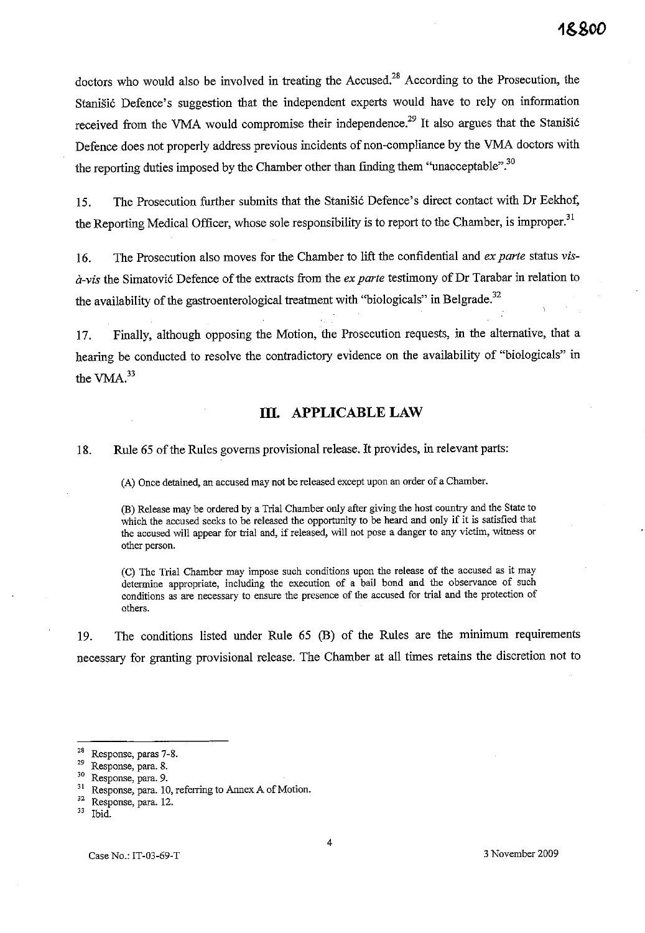doctors who would also be involved in treating the Accused.<sup>28</sup> According to the Prosecution, the Stanišić Defence's suggestion that the independent experts would have to rely on information received from the VMA would compromise their independence.<sup>29</sup> It also argues that the Stanisic Defence does not properly address previous incidents of non-compliance by the VMA doctors with the reporting duties imposed by the Chamber other than finding them "unacceptable".<sup>30</sup>

15. The Prosecution further submits that the Stanišić Defence's direct contact with Dr Eekhof, the Reporting Medical Officer, whose sole responsibility is to report to the Chamber, is improper.<sup>31</sup>

16. The Prosecution also moves for the Chamber to lift the confidential and *ex parte* status *vis-* $\dot{a}$ -vis the Simatović Defence of the extracts from the *ex parte* testimony of Dr Tarabar in relation to the availability of the gastroenterological treatment with "biologicals" in Belgrade.<sup>32</sup>

17. Finally, although opposing the Motion, the Prosecution requests, in the alternative, that a hearing be conducted to resolve the contradictory evidence on the availability of "biologicals" in the VMA.<sup>33</sup>

## **Ill. APPLICABLE LAW**

18. Rule 65 of the Rules governs provisional release. It provides, in relevant parts:

**CA) Once detained, an accused may not be released except upon an order of a Chamber.** 

(B) Release may be ordered by a Trial Chamber only after giving the host country and the State to which the accused seeks to be released the opportunity to be heard and only if it is satisfied that **the accused will appear for trial and, if released, will not pose a danger to any victim, witness or other person.** 

**(C) The Trial Chamber may impose such conditions upon the release of the accused as it may determine appropriate, including the execution of a bail bond and the observance of such conditions as are necessary to ensure the presence of the accused for trial and the protection of others.** 

19. The conditions listed under Rule 65 (8) of the Rules are the minimum requirements necessary for granting provisional release. The Chamber at all times retains the discretion not to

**<sup>28</sup> Response, paras 7-8.** 

Response, para. 8.

**<sup>30</sup> Response, para. 9.** 

**<sup>31</sup> Response, para. 10, referring to Annex A of Motion.** 

**<sup>32</sup> Response, para. 12.** 

**<sup>33</sup> Ibid.**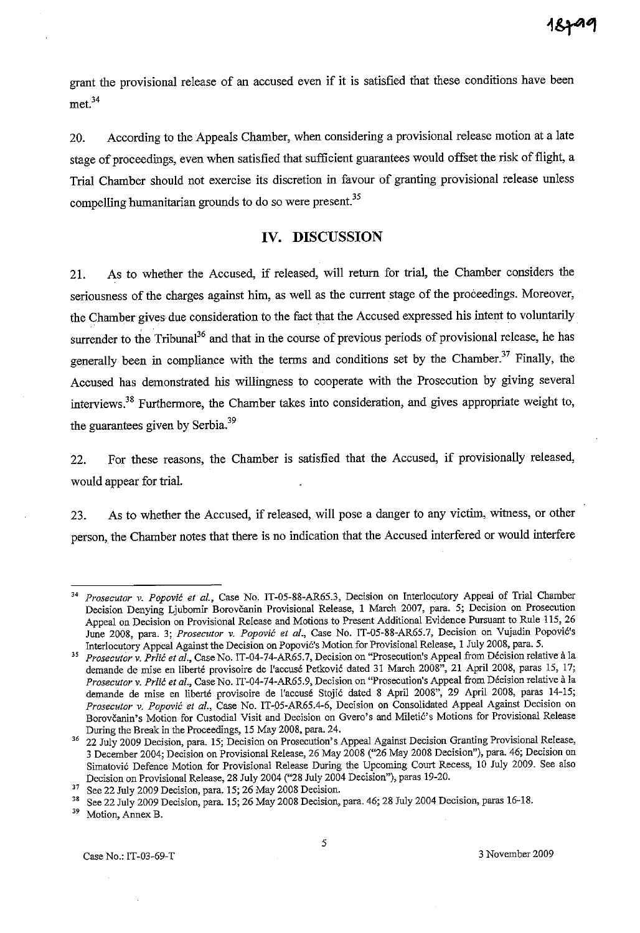grant the provisional release of an accused even if it is satisfied that these conditions have been met.<sup>34</sup>

20. According to the Appeals Chamber, when considering a provisional release motion at a late stage of proceedings, even when satisfied that sufficient guarantees would offset the risk of flight, a Trial Chamber should not exercise its discretion in favour of granting provisional release unless compelling humanitarian grounds to do so were present.<sup>35</sup>

# **IV. DISCUSSION**

21. As to whether the Accused, if released, will return for trial, the Chamber considers the seriousness of the charges against him, as well as the current stage of the proceedings. Moreover, the Chamber gives due consideration to the fact that the Accused expressed his intent to voluntarily surrender to the Tribunal<sup>36</sup> and that in the course of previous periods of provisional release, he has generally been in compliance with the terms and conditions set by the Chamber.<sup>37</sup> Finally, the Accused has demonstrated his willingness to cooperate with the Prosecution by giving several interviews.38 Furthermore, the Chamber takes into consideration, and gives appropriate weight to, the guarantees given by Serbia.<sup>39</sup>

22. For these reasons, the Chamber is satisfied that the Accused, if provisionally released, would appear for trial.

23. As to whether the Accused, if released, will pose a danger to any victim, witness, or other person, the Chamber notes that there is no indication that the Accused interfered or would interfere

Prosecutor v. Popović et al., Case No. IT-05-88-AR65.3, Decision on Interlocutory Appeal of Trial Chamber Decision Denying Ljubomir Borovčanin Provisional Release, 1 March 2007, para. 5; Decision on Prosecution **Appeal on Decision on Provisional Release and Motions to Present Additional Evidence Pursuant to Rule 115, 26**  June 2008, para. 3; Prosecutor v. Popović et al., Case No. IT-05-88-AR65.7, Decision on Vujadin Popović's Interlocutory Appeal Against the Decision on Popović's Motion for Provisional Release, 1 July 2008, para. 5.

*<sup>35</sup> Prosecutor* **v. Prlic** *et aI.,* **Case No. IT-04-74-AR65.7, Decision on "Prosecution's Appeal from Decision relative it la**  demande de mise en liberté provisoire de l'accusé Petković dated 31 March 2008", 21 April 2008, paras 15, 17; *Prosecutor* **v. Prlic** *et a!.,* **Case No. IT-04-74-AR65.9, Decision on "Prosecution's Appeal from Decision relative a la**  demande de mise en liberté provisoire de l'accusé Stojić dated 8 April 2008", 29 April 2008, paras 14-15; *Prosecutor* **v.** *Popovic et al.,* **Case No. IT-05-AR65.4-6, Decision on Consolidated Appeal Against Decision on**  Borovčanin's Motion for Custodial Visit and Decision on Gvero's and Miletic's Motions for Provisional Release During the Break in the Proceedings, 15 May 2008, para. 24.

<sup>&</sup>lt;sup>36</sup> 22 July 2009 Decision, para. 15; Decision on Prosecution's Appeal Against Decision Granting Provisional Release, 3 December 2004; Decision on Provisional Release, 26 May 2008 ("26 May 2008 Decision"), para. 46; Decision on Simatovi6 Defence Motion for Provisional Release During the Upcoming Court Recess, 10 July 2009. See also Decision on Provisional Release, 28 July 2004 ("28 July 2004 Decision"), paras 19-20.

<sup>&</sup>lt;sup>37</sup> See 22 July 2009 Decision, para. 15; 26 May 2008 Decision.

<sup>&</sup>lt;sup>38</sup> See 22 July 2009 Decision, para. 15; 26 May 2008 Decision, para. 46; 28 July 2004 Decision, paras 16-18.

Motion, Annex B.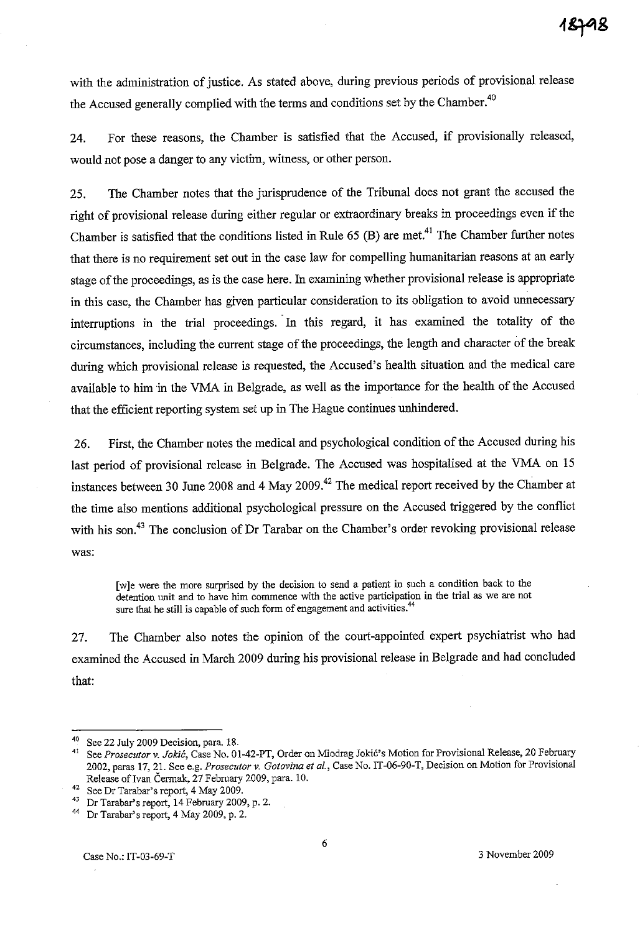with the administration of justice. As stated above, during previous periods of provisional release the Accused generally complied with the terms and conditions set by the Chamber.<sup>40</sup>

24. For these reasons, the Chamber is satisfied that the Accused, if provisionally released, would not pose a danger to any victim, witness, or other person.

25. The Chamber notes that the jurisprudence of the Tribunal does not grant the accused the right of provisional release during either regular or extraordinary breaks in proceedings even if the Chamber is satisfied that the conditions listed in Rule  $65$  (B) are met.<sup>41</sup> The Chamber further notes that there is no requirement set out in the case law for compelling humanitarian reasons at an early stage of the proceedings, as is the case here. In examining whether provisional release is appropriate in this case, the Chamber has given particular consideration to its obligation to avoid unnecessary interruptions in the trial proceedings. In this regard, it has examined the totality of the circumstances, including the current stage of the proceedings, the length and character of the break during which provisional release is requested, the Accused's health situation and the medical care available to him in the VMA in Belgrade, as well as the importance for the health of the Accused that the efficient reporting system set up in The Hague continues unhindered.

26. First, the Chamber notes the medical and psychological condition of the Accused during his last period of provisional release in Belgrade. The Accused was hospitalised at the VMA on 15 instances between 30 June 2008 and 4 May 2009.<sup>42</sup> The medical report received by the Chamber at the time also mentions additional psychological pressure on the Accused triggered by the conflict with his son.<sup>43</sup> The conclusion of Dr Tarabar on the Chamber's order revoking provisional release was:

**[w]e were the more surprised by the decision to send a patient in such a condition back to the detention unit and to have him commence with the active participation in the trial as we are not sure that he still is capable of such form of engagement and activities.44** 

27. The Chamber also notes the opinion of the court-appointed expert psychiatrist who had examined the Accused in March 2009 during his provisional release in Belgrade and had concluded that:

<sup>&</sup>lt;sup>40</sup> See 22 July 2009 Decision, para. 18.<br><sup>41</sup> See Presentance *Islié* Case No. 01

See Prosecutor v. Jokić, Case No. 01-42-PT, Order on Miodrag Jokić's Motion for Provisional Release, 20 February **2002, paras 17, 21. See e.g.** *Prosecutor* **v.** *Gotovina et af.,* **Case No. IT-06-90-T, Decision on Motion for Provisional**  Release of Ivan Čermak, 27 February 2009, para. 10.

**<sup>42</sup> See Dr Tarabar's report, 4 May 2009.** 

<sup>43</sup> Dr Tarabar's report, 14 February 2009, p. 2.

<sup>44</sup> Dr Tarabar's report, 4 May 2009, p. 2.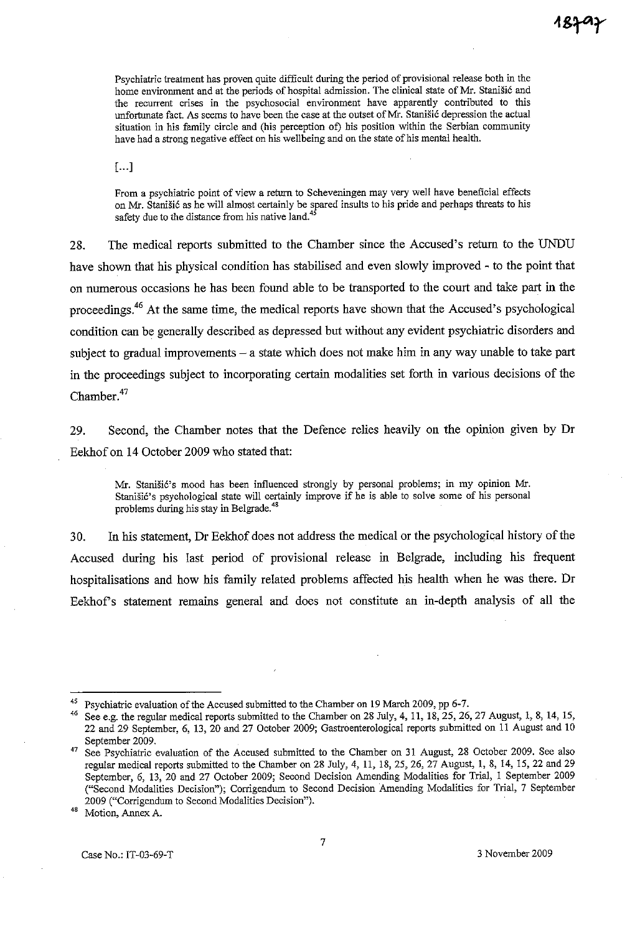**Psychiatric treatment has proven quite difficult during the period of provisional release both in the home environment and at the periods of hospital admission. The clinical state of Mr. Stanisi6 and the recurrent crises in the psychosocial environment have apparently contributed to this**  unfortunate fact. As seems to have been the case at the outset of Mr. Stanisić depression the actual **situation in his family circle and (his perception of) his position within the Serbian community have had a strong negative effect on his wellbeing and on the state of his mental health.** 

 $[...]$ 

**From a psychiatric point of view a return to Scheveningen may very well have beneficial effects**  on Mr. Stanisic as he will ahnost certainly be spared insults to his pride and perhaps threats to his **safety due to the distance from his native land.<sup>45</sup>**

28. The medical reports submitted to the Chamber since the Accused's return to the UNDU have shown that his physical condition has stabilised and even slowly improved - to the point that on numerous occasions he has been found able to be transported to the court and take part in the proceedings.46 At the same time, the medical reports have shown that the Accused's psychological condition can be generally described as depressed but without any evident psychiatric disorders and subject to gradual improvements  $-$  a state which does not make him in any way unable to take part in the proceedings subject to incorporating certain modalities set forth in various decisions of the Chamber.<sup>47</sup>

29. Second, the Chamber notes that the Defence relies heavily on the opinion given by Dr Eekhof on 14 October 2009 who stated that:

**Mr. Stanisi6's mood has been influenced strongly by personal problems; in my opinion Mr.**  Stanišić's psychological state will certainly improve if he is able to solve some of his personal problems during his stay in Belgrade.<sup>48</sup>

30. In his statement, Dr Eekhof does not address the medical or the psychological history of the Accused during his last period of provisional release in Belgrade, including his frequent hospitalisations and how his family related problems affected his health when he was there. Dr Eekhofs statement remains general and does not constitute an in-depth analysis of all the

Psychiatric evaluation of the Accused submitted to the Chamber on 19 March 2009, pp 6-7.

See e.g. the regular medical reports submitted to the Chamber on 28 July, 4, 11, 18, 25, 26, 27 August, 1, 8, 14, 15, 22 and 29 September, 6, 13, 20 and 27 October 2009; Gastroenterological reports submitted on 11 August and 10 September 2009.

<sup>&</sup>lt;sup>47</sup> See Psychiatric evaluation of the Accused submitted to the Chamber on 31 August, 28 October 2009. See also regular medical reports submitted to the Chamber on 28 July, 4, 11, 18, 25, 26, 27 August, 1, 8, 14, 15,22 and 29 September, 6, 13, 20 and 27 October 2009; Second Decision Amending Modalities for Trial, 1 September 2009 **("Second Modalities Decision"); Corrigendum to Second Decision Amending Modalities for Trial, 7 September 2009 ("Corrigendum to Second Modalities Decision").** 

**<sup>48</sup> Motion, Annex A.**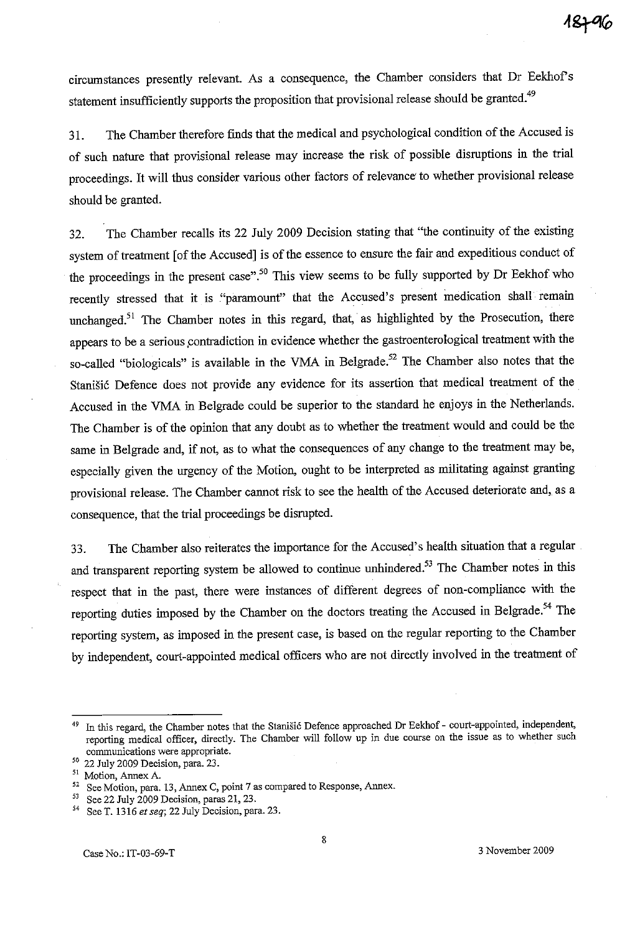circumstances presently relevant. As a consequence, the Chamber considers that Dr Eekhof s statement insufficiently supports the proposition that provisional release should be granted.<sup>49</sup>

31. The Chamber therefore finds that the medical and psychological condition of the Accused is of such nature that provisional release may increase the risk of possible disruptions in the trial proceedings. It will thus consider various other factors of relevance to whether provisional release should be granted.

32. The Chamber recalls its 22 July 2009 Decision stating that "the continuity of the existing system of treatment [of the Accused] is of the essence to ensure the fair and expeditious conduct of the proceedings in the present case".<sup>50</sup> This view seems to be fully supported by Dr Eekhof who recently stressed that it is "paramount" that the Accused's present medication shall remain unchanged.<sup>51</sup> The Chamber notes in this regard, that, as highlighted by the Prosecution, there appears to be a serious contradiction in evidence whether the gastroenterological treatment with the so-called "biologicals" is available in the VMA in Belgrade.<sup>52</sup> The Chamber also notes that the Stanišić Defence does not provide any evidence for its assertion that medical treatment of the Accused in the VMA in Belgrade could be superior to the standard he enjoys in the Netherlands. The Chamber is of the opinion that any doubt as to whether the treatment would and could be the same in Belgrade and, if not, as to what the consequences of any change to the treatment may be, especially given the urgency of the Motion, ought to be interpreted as militating against granting provisional release. The Chamber cannot risk to see the health of the Accused deteriorate and, as a consequence, that the trial proceedings be disrupted.

33. The Chamber also reiterates the importance for the Accused's health situation that a regular and transparent reporting system be allowed to continue unhindered.<sup>53</sup> The Chamber notes in this respect that in the past, there were instances of different degrees of non-compliance with the reporting duties imposed by the Chamber on the doctors treating the Accused in Belgrade.<sup>54</sup> The reporting system, as imposed in the present case, is based on the regular reporting to the Chamber by independent, court-appointed medical officers who are not directly involved in the treatment of

<sup>&</sup>lt;sup>49</sup> In this regard, the Chamber notes that the Stanišić Defence approached Dr Eekhof - court-appointed, independent, reporting medical officer, directly. The Chamber will follow up in due course on the issue as to whether such **communications were appropriate.** 

 $50$  22 July 2009 Decision, para. 23.

**<sup>51</sup>Motion, Annex A.** 

<sup>&</sup>lt;sup>52</sup> See Motion, para. 13, Annex C, point 7 as compared to Response, Annex.<br><sup>53</sup> See 22 July 2009 Decision, paras 21, 23

See 22 July 2009 Decision, paras 21, 23.

<sup>54</sup>**See T. 1316** *et seq;* **22 July Decision, para. 23.**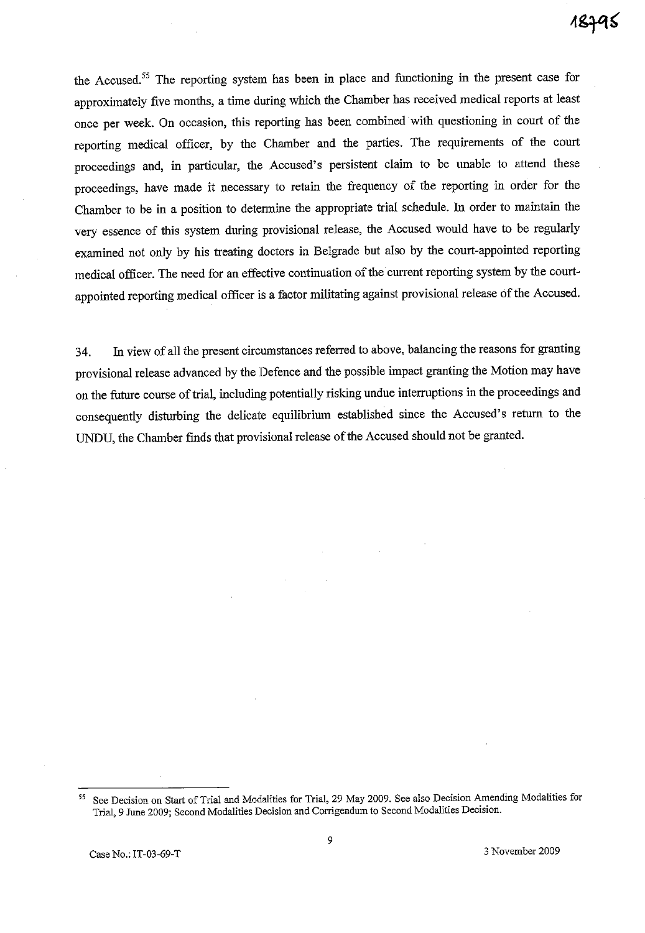the Accused.<sup>55</sup> The reporting system has been in place and functioning in the present case for approximately five months, a time during which the Chamber has received medical reports at least once per week. On occasion, this reporting has been combined· with questioning in court of the reporting medical officer, by the Chamber and the parties. The requirements of the court proceedings and, in particular, the Accused's persistent claim to be unable to attend these proceedings, have made it necessary to retain the frequency of the reporting in order for the Chamber to be in a position to determine the appropriate trial schedule. **In** order to maintain the very essence of this system during provisional release, the Accused would have to be regularly examined not only by his treating doctors in Belgrade but also by the court-appointed reporting medical officer. The need for an effective continuation of the current reporting system by the courtappointed reporting medical officer is a factor militating against provisional release of the Accused.

34. In view of all the present circumstances referred to above, balancing the reasons for granting provisional release advanced by the Defence and the possible impact granting the Motion may have on the future course of trial, including potentially risking undue interruptions in the proceedings and consequently disturbing the delicate equilibrium established since the Accused's return to the UNDU, the Chamber finds that provisional release of the Accused should not be granted.

**<sup>55</sup> See Decision on Start** of Trial **and Modalities for Trial, 29 May 2009. See also Decision Amending Modalities for Trial, 9 June 2009; Second Modalities Decision and Corrigendum to Second Modalities Decision.**